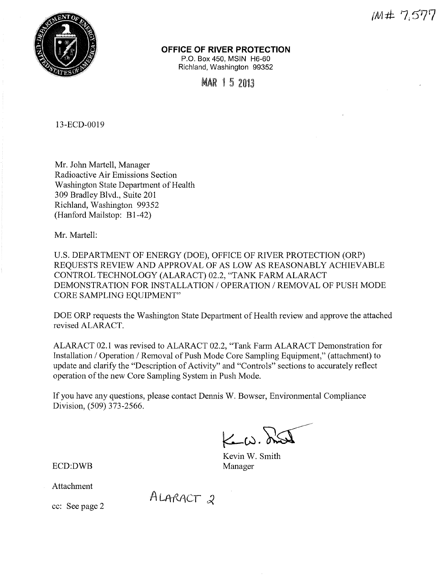



**OFFICE OF RIVER PROTECTION** 

P.O. Box 450, MSIN H6-60 Richland, Washington 99352

MAR 1 5 2013

13-ECD-0019

Mr. John Martell, Manager Radioactive Air Emissions Section Washington State Department of Health 309 Bradley Blvd., Suite 201 Richland, Washington 99352 (Hanford Mailstop: B1-42)

Mr. Martell:

U.S. DEPARTMENT OF ENERGY (DOE), OFFICE OF RIVER PROTECTION (ORP) REQUESTS REVIEW AND APPROVAL OF AS LOW AS REASONABLY ACHIEVABLE CONTROL TECHNOLOGY (ALARACT) 02.2, "TANK FARM ALARACT DEMONSTRATION FOR INSTALLATION / OPERATION / REMOVAL OF PUSH MODE CORE SAMPLING EQUIPMENT"

DOE ORP requests the Washington State Department of Health review and approve the attached revised ALARACT.

ALARACT 02.1 was revised to ALARACT 02.2, "Tank Farm ALARACT Demonstration for Installation/ Operation/ Removal of Push Mode Core Sampling Equipment," (attachment) to update and clarify the "Description of Activity" and "Controls" sections to accurately reflect operation of the new Core Sampling System in Push Mode.

If you have any questions, please contact Dennis W. Bowser, Environmental Compliance Division, (509) 373-2566.

 $K_{\text{max}}$ 

Kevin W. Smith Manager

ECD:DWB

Attachment

ALARACT 2

cc: See page 2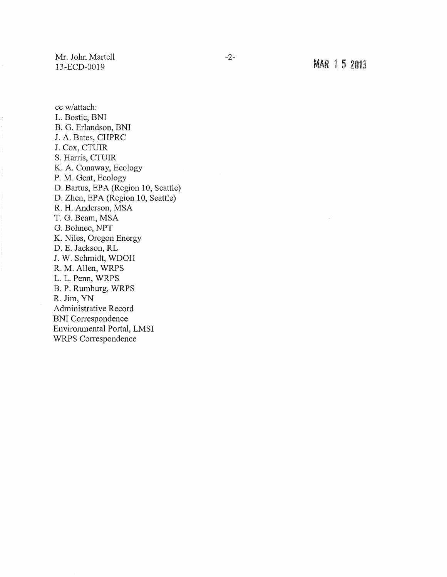Mr. John Martell 13-ECD-0019

MAR 1 5 2013

cc w/attach: L. Bostic, BNI B. G. Erlandson, BNI J. A. Bates, CHPRC J. Cox, CTUIR S. Harris, CTUIR K. A. Conaway, Ecology P. M. Gent, Ecology D. Bartus, EPA (Region 10, Seattle) D. Zhen, EPA (Region 10, Seattle) R. H. Anderson, MSA T. G. Beam, MSA G. Bohnee, NPT K. Niles, Oregon Energy D. E. Jackson, RL J. W. Schmidt, WDOH R. M. Allen, WRPS L. L. Penn, WRPS B. P. Rumburg, WRPS R. Jim, YN Administrative Record BNI Correspondence Environmental Portal, LMSI WRPS Correspondence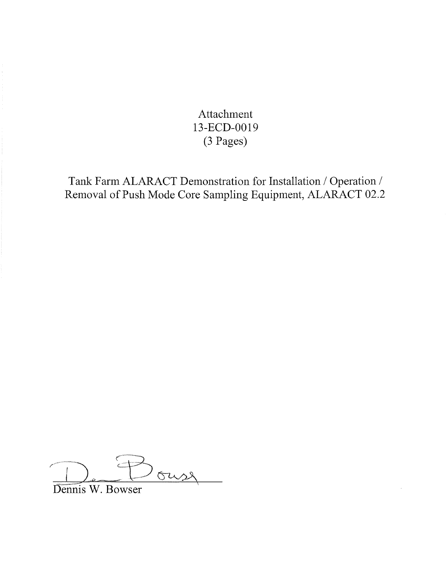Attachment 13-ECD-0019 (3 Pages)

Tank Farm ALARACT Demonstration for Installation/ Operation/ Removal of Push Mode Core Sampling Equipment, ALARACT 02.2

ouse

Dennis W. Bowser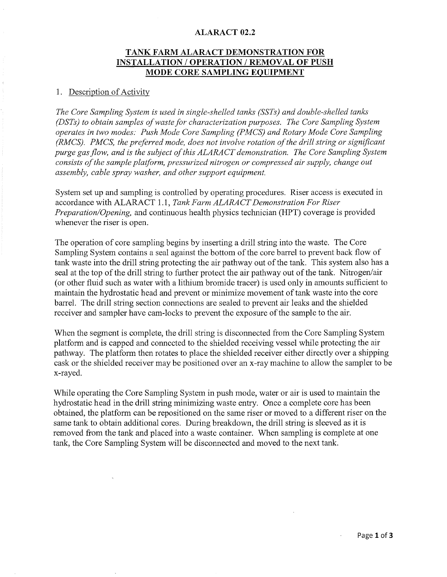#### **ALARACT 02.2**

# **TANK FARM ALARACT DEMONSTRATION FOR INSTALLATION /OPERATION /REMOVAL OF PUSH MODE CORE SAMPLING EQUIPMENT**

#### 1. Description of Activity

*The Core Sampling System is used in single-shelled tanks (SSTs) and double-shelled tanks (DSTs) to obtain samples of waste for characterization purposes. The Core Sampling System operates in two modes: Push Mode Core Sampling (PMCS) and Rotary Mode Core Sampling (RMCS). PMCS, the preferred mode, does not involve rotation of the drill string or significant purge gas flow, and is the subject of this ALARACT demonstration. The Core Sampling System consists of the sample platform, pressurized nitrogen or compressed air supply, change out assembly, cable spray washer, and other support equipment.* 

System set up and sampling is controlled by operating procedures. Riser access is executed in accordance with ALARACT 1.1, *Tank Farm ALARACT Demonstration For Riser Preparation/Opening,* and continuous health physics technician (HPT) coverage is provided whenever the riser is open.

The operation of core sampling begins by inserting a drill string into the waste. The Core Sampling System contains a seal against the bottom of the core barrel to prevent back flow of tank waste into the drill string protecting the air pathway out of the tank. This system also has a seal at the top of the drill string to further protect the air pathway out of the tank. Nitrogen/air (or other fluid such as water with a lithium bromide tracer) is used only in amounts sufficient to maintain the hydrostatic head and prevent or minimize movement of tank waste into the core barrel. The drill string section connections are sealed to prevent air leaks and the shielded receiver and sampler have cam-locks to prevent the exposure of the sample to the air.

When the segment is complete, the drill string is disconnected from the Core Sampling System platform and is capped and connected to the shielded receiving vessel while protecting the air pathway. The platform then rotates to place the shielded receiver either directly over a shipping cask or the shielded receiver may be positioned over an x-ray machine to allow the sampler to be x-rayed.

While operating the Core Sampling System in push mode, water or air is used to maintain the hydrostatic head in the drill string minimizing waste entry. Once a complete core has been obtained, the platform can be repositioned on the same riser or moved to a different riser on the same tank to obtain additional cores. During breakdown, the drill string is sleeved as it is removed from the tank and placed into a waste container. When sampling is complete at one tank, the Core Sampling System will be disconnected and moved to the next tank.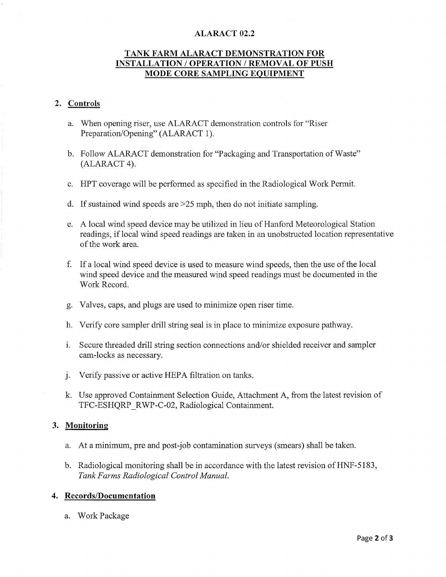## **ALARACT 02.2**

# **TANK FARM ALARACT DEMONSTRATION FOR INSTALLATION/ OPERATION/ REMOVAL OF PUSH MODE CORE SAMPLING EQUIPMENT**

#### **2. Controls**

- a. When opening riser, use ALARACT demonstration controls for "Riser Preparation/Opening" (ALARACT 1).
- b. Follow ALARACT demonstration for "Packaging and Transportation of Waste" (ALARACT 4).
- c. HPT coverage will be performed as specified in the Radiological Work Permit.
- d. If sustained wind speeds are >25 mph, then do not initiate sampling.
- e. A local wind speed device may be utilized in lieu of Hanford Meteorological Station readings, if local wind speed readings are taken in an unobstructed location representative of the work area.
- f. If a local wind speed device is used to measure wind speeds, then the use of the local wind speed device and the measured wind speed readings must be documented in the Work Record.
- g. Valves, caps, and plugs are used to minimize open riser time.
- h. Verify core sampler drill string seal is in place to minimize exposure pathway.
- 1. Secure threaded drill string section connections and/or shielded receiver and sampler cam-locks as necessary.
- j. Verify passive or active HEPA filtration on tanks.
- k. Use approved Containment Selection Guide, Attachment A, from the latest revision of TFC-ESHQRP RWP-C-02, Radiological Containment.

#### **3. Monitoring**

- a. At a minimum, pre and post-job contamination surveys (smears) shall be taken.
- b. Radiological monitoring shall be in accordance with the latest revision of HNF-5183, *Tank Farms Radiological Control Manual.*

## **4. Records/Documentation**

a. Work Package